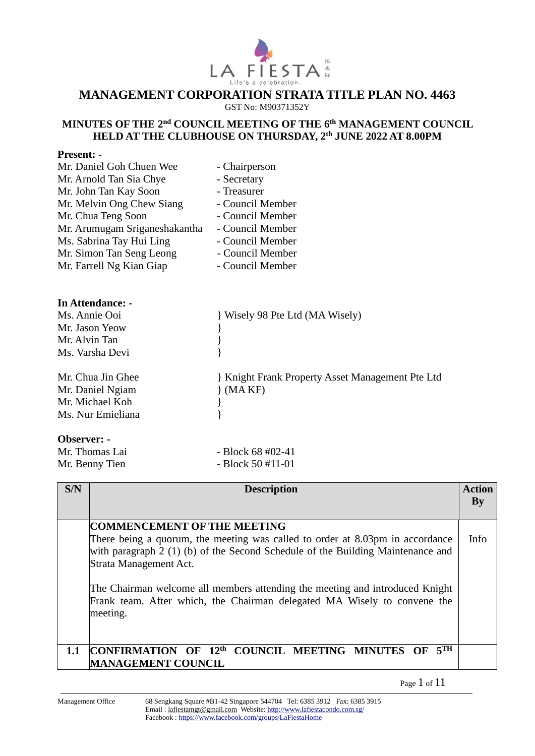

#### **MANAGEMENT CORPORATION STRATA TITLE PLAN NO. 4463** GST No: M90371352Y

#### **MINUTES OF THE 2<sup>nd</sup> COUNCIL MEETING OF THE 6<sup>th</sup> MANAGEMENT COUNCIL HELD AT THE CLUBHOUSE ON THURSDAY, 2 th JUNE 2022 AT 8.00PM**

#### **Present: -**

| Mr. Daniel Goh Chuen Wee      | - Chairperson                                  |
|-------------------------------|------------------------------------------------|
| Mr. Arnold Tan Sia Chye       | - Secretary                                    |
| Mr. John Tan Kay Soon         | - Treasurer                                    |
| Mr. Melvin Ong Chew Siang     | - Council Member                               |
| Mr. Chua Teng Soon            | - Council Member                               |
| Mr. Arumugam Sriganeshakantha | - Council Member                               |
| Ms. Sabrina Tay Hui Ling      | - Council Member                               |
| Mr. Simon Tan Seng Leong      | - Council Member                               |
| Mr. Farrell Ng Kian Giap      | - Council Member                               |
| <b>In Attendance: -</b>       |                                                |
| Ms. Annie Ooi                 | Wisely 98 Pte Ltd (MA Wisely)                  |
| Mr. Jason Yeow                |                                                |
| Mr. Alvin Tan                 |                                                |
| Ms. Varsha Devi               |                                                |
| Mr. Chua Jin Ghee             | Knight Frank Property Asset Management Pte Ltd |
| Mr. Daniel Ngiam              | (MAKF)                                         |
| Mr. Michael Koh               |                                                |
| Ms. Nur Emieliana             |                                                |
| Observer: -                   |                                                |

Mr. Thomas Lai  $-$  Block 68 #02-41 Mr. Benny Tien - Block 50 #11-01

| S/N | <b>Description</b>                                                                                                                                                                                                                                                                                                                                                                                        | Action<br>$\mathbf{B}\mathbf{v}$ |
|-----|-----------------------------------------------------------------------------------------------------------------------------------------------------------------------------------------------------------------------------------------------------------------------------------------------------------------------------------------------------------------------------------------------------------|----------------------------------|
|     | <b>COMMENCEMENT OF THE MEETING</b><br>There being a quorum, the meeting was called to order at 8.03pm in accordance<br>with paragraph $2(1)$ (b) of the Second Schedule of the Building Maintenance and<br>Strata Management Act.<br>The Chairman welcome all members attending the meeting and introduced Knight<br>Frank team. After which, the Chairman delegated MA Wisely to convene the<br>meeting. | Info                             |
| 1.1 | COUNCIL MEETING MINUTES OF 5TH<br>CONFIRMATION OF 12th<br><b>MANAGEMENT COUNCIL</b>                                                                                                                                                                                                                                                                                                                       |                                  |

Page 1 of 11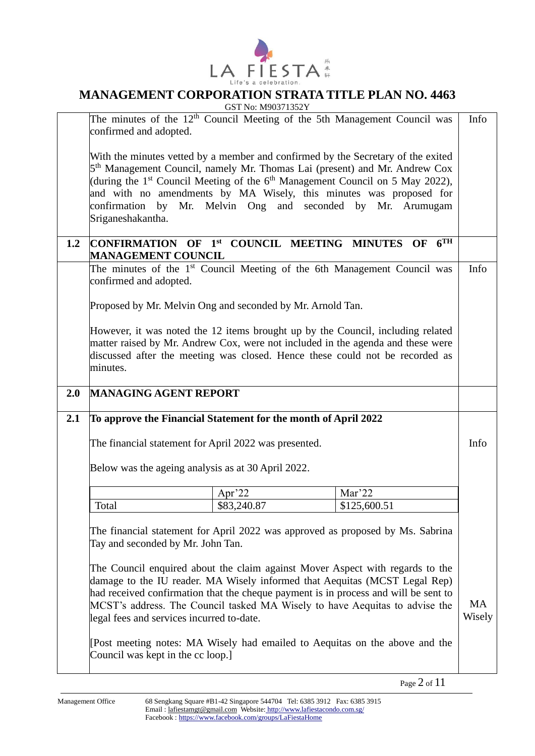

|     |                                                                | GST No: M90371352Y                                                                          |                 |           |
|-----|----------------------------------------------------------------|---------------------------------------------------------------------------------------------|-----------------|-----------|
|     |                                                                | The minutes of the $12th$ Council Meeting of the 5th Management Council was                 |                 | Info      |
|     | confirmed and adopted.                                         |                                                                                             |                 |           |
|     |                                                                |                                                                                             |                 |           |
|     |                                                                |                                                                                             |                 |           |
|     |                                                                | With the minutes vetted by a member and confirmed by the Secretary of the exited            |                 |           |
|     |                                                                | 5 <sup>th</sup> Management Council, namely Mr. Thomas Lai (present) and Mr. Andrew Cox      |                 |           |
|     |                                                                | (during the 1 <sup>st</sup> Council Meeting of the $6th$ Management Council on 5 May 2022), |                 |           |
|     |                                                                | and with no amendments by MA Wisely, this minutes was proposed for                          |                 |           |
|     |                                                                | confirmation by Mr. Melvin Ong and seconded by Mr. Arumugam                                 |                 |           |
|     | Sriganeshakantha.                                              |                                                                                             |                 |           |
|     |                                                                |                                                                                             |                 |           |
|     | CONFIRMATION OF 1st COUNCIL MEETING MINUTES OF                 |                                                                                             | 6 <sup>TH</sup> |           |
| 1.2 |                                                                |                                                                                             |                 |           |
|     | <b>MANAGEMENT COUNCIL</b>                                      |                                                                                             |                 |           |
|     |                                                                | The minutes of the 1 <sup>st</sup> Council Meeting of the 6th Management Council was        |                 | Info      |
|     | confirmed and adopted.                                         |                                                                                             |                 |           |
|     |                                                                |                                                                                             |                 |           |
|     | Proposed by Mr. Melvin Ong and seconded by Mr. Arnold Tan.     |                                                                                             |                 |           |
|     |                                                                |                                                                                             |                 |           |
|     |                                                                | However, it was noted the 12 items brought up by the Council, including related             |                 |           |
|     |                                                                |                                                                                             |                 |           |
|     |                                                                | matter raised by Mr. Andrew Cox, were not included in the agenda and these were             |                 |           |
|     |                                                                | discussed after the meeting was closed. Hence these could not be recorded as                |                 |           |
|     | minutes.                                                       |                                                                                             |                 |           |
|     |                                                                |                                                                                             |                 |           |
| 2.0 | <b>MANAGING AGENT REPORT</b>                                   |                                                                                             |                 |           |
|     |                                                                |                                                                                             |                 |           |
|     |                                                                |                                                                                             |                 |           |
|     |                                                                |                                                                                             |                 |           |
| 2.1 | To approve the Financial Statement for the month of April 2022 |                                                                                             |                 |           |
|     |                                                                |                                                                                             |                 |           |
|     | The financial statement for April 2022 was presented.          |                                                                                             |                 | Info      |
|     |                                                                |                                                                                             |                 |           |
|     | Below was the ageing analysis as at 30 April 2022.             |                                                                                             |                 |           |
|     |                                                                |                                                                                             |                 |           |
|     |                                                                |                                                                                             | Mar'22          |           |
|     |                                                                | Apr'22                                                                                      |                 |           |
|     | Total                                                          | \$83,240.87                                                                                 | \$125,600.51    |           |
|     |                                                                |                                                                                             |                 |           |
|     |                                                                | The financial statement for April 2022 was approved as proposed by Ms. Sabrina              |                 |           |
|     | Tay and seconded by Mr. John Tan.                              |                                                                                             |                 |           |
|     |                                                                |                                                                                             |                 |           |
|     |                                                                | The Council enquired about the claim against Mover Aspect with regards to the               |                 |           |
|     |                                                                | damage to the IU reader. MA Wisely informed that Aequitas (MCST Legal Rep)                  |                 |           |
|     |                                                                |                                                                                             |                 |           |
|     |                                                                | had received confirmation that the cheque payment is in process and will be sent to         |                 |           |
|     |                                                                | MCST's address. The Council tasked MA Wisely to have Aequitas to advise the                 |                 | <b>MA</b> |
|     | legal fees and services incurred to-date.                      |                                                                                             |                 | Wisely    |
|     |                                                                |                                                                                             |                 |           |
|     |                                                                | [Post meeting notes: MA Wisely had emailed to Aequitas on the above and the                 |                 |           |
|     | Council was kept in the cc loop.]                              |                                                                                             |                 |           |

Page 2 of 11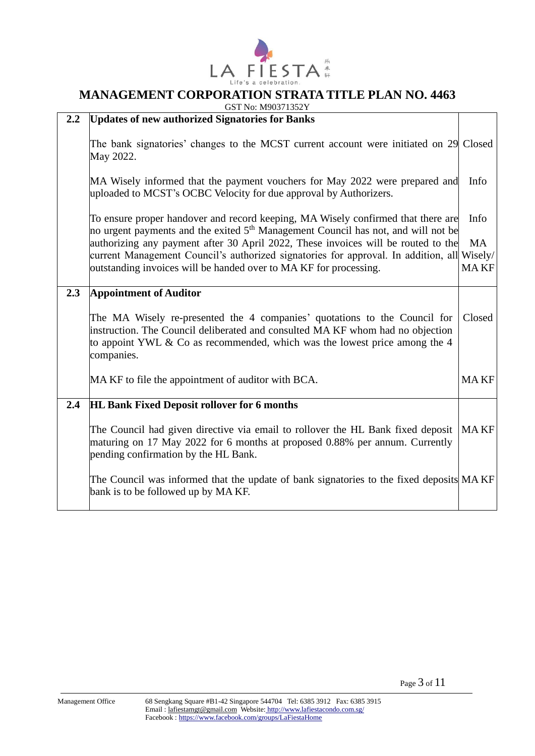

GST No: M90371352Y

| $2.2\,$ | <b>Updates of new authorized Signatories for Banks</b>                                                                                                                                                                                                  |             |
|---------|---------------------------------------------------------------------------------------------------------------------------------------------------------------------------------------------------------------------------------------------------------|-------------|
|         | The bank signatories' changes to the MCST current account were initiated on 29 Closed<br>May 2022.                                                                                                                                                      |             |
|         | MA Wisely informed that the payment vouchers for May 2022 were prepared and<br>uploaded to MCST's OCBC Velocity for due approval by Authorizers.                                                                                                        | Info        |
|         | To ensure proper handover and record keeping, MA Wisely confirmed that there are<br>no urgent payments and the exited 5 <sup>th</sup> Management Council has not, and will not be                                                                       | Info        |
|         | authorizing any payment after 30 April 2022, These invoices will be routed to the                                                                                                                                                                       | <b>MA</b>   |
|         | current Management Council's authorized signatories for approval. In addition, all Wisely/                                                                                                                                                              |             |
|         | outstanding invoices will be handed over to MA KF for processing.                                                                                                                                                                                       | <b>MAKF</b> |
| 2.3     | <b>Appointment of Auditor</b>                                                                                                                                                                                                                           |             |
|         | The MA Wisely re-presented the 4 companies' quotations to the Council for<br>instruction. The Council deliberated and consulted MA KF whom had no objection<br>to appoint YWL & Co as recommended, which was the lowest price among the 4<br>companies. | Closed      |
|         | MA KF to file the appointment of auditor with BCA.                                                                                                                                                                                                      | <b>MAKF</b> |
| 2.4     | <b>HL Bank Fixed Deposit rollover for 6 months</b>                                                                                                                                                                                                      |             |
|         | The Council had given directive via email to rollover the HL Bank fixed deposit   MA KF<br>maturing on 17 May 2022 for 6 months at proposed 0.88% per annum. Currently<br>pending confirmation by the HL Bank.                                          |             |
|         | The Council was informed that the update of bank signatories to the fixed deposits MAKF<br>bank is to be followed up by MA KF.                                                                                                                          |             |

Page 3 of 11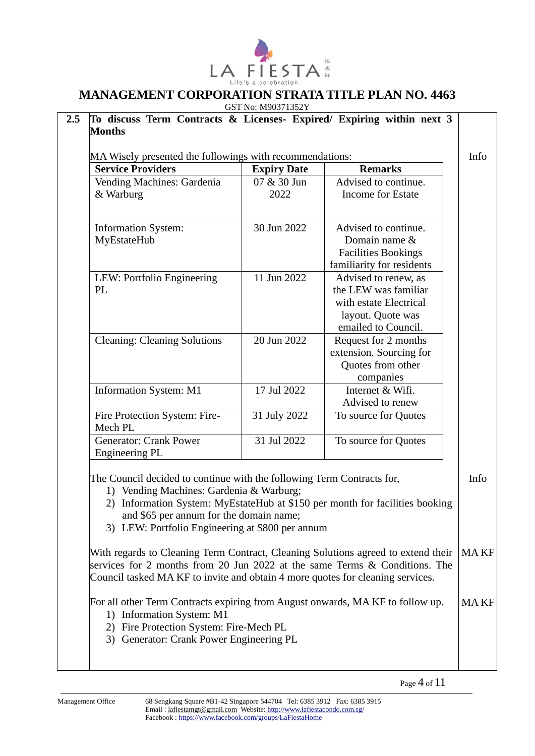

 $GCDM = M90371352Y$ 

| MA Wisely presented the followings with recommendations:<br><b>Service Providers</b>                                                                                                                                                              | <b>Expiry Date</b> | <b>Remarks</b>                                                               |
|---------------------------------------------------------------------------------------------------------------------------------------------------------------------------------------------------------------------------------------------------|--------------------|------------------------------------------------------------------------------|
| Vending Machines: Gardenia                                                                                                                                                                                                                        | 07 & 30 Jun        | Advised to continue.                                                         |
| & Warburg                                                                                                                                                                                                                                         | 2022               | <b>Income for Estate</b>                                                     |
| <b>Information System:</b>                                                                                                                                                                                                                        | 30 Jun 2022        | Advised to continue.                                                         |
| MyEstateHub                                                                                                                                                                                                                                       |                    | Domain name &<br><b>Facilities Bookings</b>                                  |
|                                                                                                                                                                                                                                                   |                    | familiarity for residents                                                    |
| LEW: Portfolio Engineering<br>PL                                                                                                                                                                                                                  | 11 Jun 2022        | Advised to renew, as<br>the LEW was familiar                                 |
|                                                                                                                                                                                                                                                   |                    | with estate Electrical                                                       |
|                                                                                                                                                                                                                                                   |                    | layout. Quote was<br>emailed to Council.                                     |
| <b>Cleaning: Cleaning Solutions</b>                                                                                                                                                                                                               | 20 Jun 2022        | Request for 2 months                                                         |
|                                                                                                                                                                                                                                                   |                    | extension. Sourcing for                                                      |
|                                                                                                                                                                                                                                                   |                    | Quotes from other                                                            |
|                                                                                                                                                                                                                                                   |                    | companies                                                                    |
| Information System: M1                                                                                                                                                                                                                            | 17 Jul 2022        | Internet & Wifi.                                                             |
| Fire Protection System: Fire-                                                                                                                                                                                                                     | 31 July 2022       | Advised to renew<br>To source for Quotes                                     |
| Mech PL                                                                                                                                                                                                                                           |                    |                                                                              |
| <b>Generator: Crank Power</b><br>Engineering PL                                                                                                                                                                                                   | 31 Jul 2022        | To source for Quotes                                                         |
| The Council decided to continue with the following Term Contracts for,<br>1) Vending Machines: Gardenia & Warburg;<br>and \$65 per annum for the domain name;<br>3) LEW: Portfolio Engineering at \$800 per annum                                 |                    | 2) Information System: MyEstateHub at \$150 per month for facilities booking |
| With regards to Cleaning Term Contract, Cleaning Solutions agreed to extend their<br>services for 2 months from 20 Jun 2022 at the same Terms & Conditions. The<br>Council tasked MA KF to invite and obtain 4 more quotes for cleaning services. |                    |                                                                              |
| For all other Term Contracts expiring from August onwards, MA KF to follow up.<br>1) Information System: M1<br>2) Fire Protection System: Fire-Mech PL                                                                                            |                    |                                                                              |

Page 4 of  $11$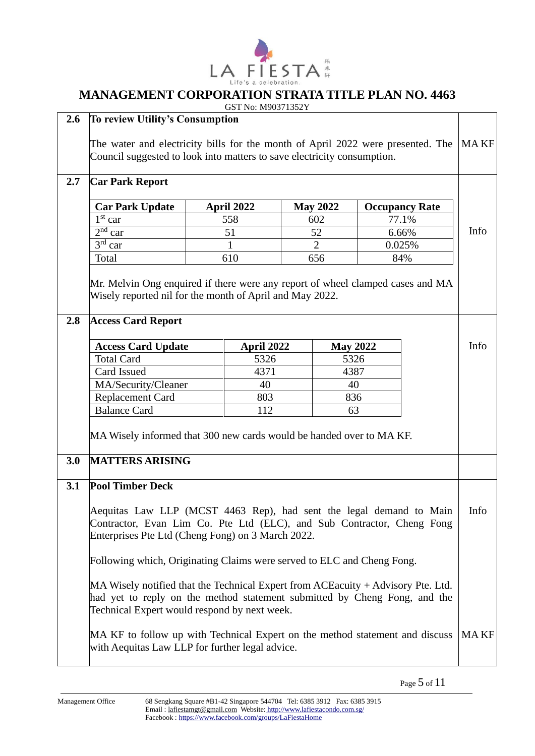

|     |                                                                                   |            | GST No: M90371352Y |                 |                 |                       |             |
|-----|-----------------------------------------------------------------------------------|------------|--------------------|-----------------|-----------------|-----------------------|-------------|
| 2.6 | <b>To review Utility's Consumption</b>                                            |            |                    |                 |                 |                       |             |
|     | The water and electricity bills for the month of April 2022 were presented. The   |            |                    |                 |                 | MA KF                 |             |
|     | Council suggested to look into matters to save electricity consumption.           |            |                    |                 |                 |                       |             |
|     |                                                                                   |            |                    |                 |                 |                       |             |
| 2.7 | <b>Car Park Report</b>                                                            |            |                    |                 |                 |                       |             |
|     |                                                                                   |            |                    |                 |                 |                       |             |
|     | <b>Car Park Update</b>                                                            | April 2022 |                    | <b>May 2022</b> |                 | <b>Occupancy Rate</b> |             |
|     | $1st$ car<br>$2nd$ car                                                            | 558<br>51  |                    | 602<br>52       |                 | 77.1%                 | Info        |
|     | $3rd$ car                                                                         | 1          |                    | $\overline{2}$  |                 | 6.66%<br>0.025%       |             |
|     | Total                                                                             | 610        |                    | 656             |                 | 84%                   |             |
|     |                                                                                   |            |                    |                 |                 |                       |             |
|     | Mr. Melvin Ong enquired if there were any report of wheel clamped cases and MA    |            |                    |                 |                 |                       |             |
|     | Wisely reported nil for the month of April and May 2022.                          |            |                    |                 |                 |                       |             |
|     |                                                                                   |            |                    |                 |                 |                       |             |
| 2.8 | <b>Access Card Report</b>                                                         |            |                    |                 |                 |                       |             |
|     |                                                                                   |            |                    |                 |                 |                       |             |
|     | <b>Access Card Update</b>                                                         |            | April 2022         |                 | <b>May 2022</b> |                       | Info        |
|     | <b>Total Card</b>                                                                 |            | 5326               |                 | 5326            |                       |             |
|     | Card Issued                                                                       |            | 4371               |                 | 4387            |                       |             |
|     | MA/Security/Cleaner                                                               |            | 40                 |                 | 40              |                       |             |
|     | Replacement Card                                                                  |            | 803                |                 | 836             |                       |             |
|     | <b>Balance Card</b>                                                               |            | 112                |                 | 63              |                       |             |
|     | MA Wisely informed that 300 new cards would be handed over to MA KF.              |            |                    |                 |                 |                       |             |
|     |                                                                                   |            |                    |                 |                 |                       |             |
| 3.0 | <b>MATTERS ARISING</b>                                                            |            |                    |                 |                 |                       |             |
|     |                                                                                   |            |                    |                 |                 |                       |             |
| 3.1 | <b>Pool Timber Deck</b>                                                           |            |                    |                 |                 |                       |             |
|     |                                                                                   |            |                    |                 |                 |                       |             |
|     | Aequitas Law LLP (MCST 4463 Rep), had sent the legal demand to Main               |            |                    |                 |                 |                       | Info        |
|     | Contractor, Evan Lim Co. Pte Ltd (ELC), and Sub Contractor, Cheng Fong            |            |                    |                 |                 |                       |             |
|     | Enterprises Pte Ltd (Cheng Fong) on 3 March 2022.                                 |            |                    |                 |                 |                       |             |
|     | Following which, Originating Claims were served to ELC and Cheng Fong.            |            |                    |                 |                 |                       |             |
|     |                                                                                   |            |                    |                 |                 |                       |             |
|     | MA Wisely notified that the Technical Expert from ACE acuity + Advisory Pte. Ltd. |            |                    |                 |                 |                       |             |
|     | had yet to reply on the method statement submitted by Cheng Fong, and the         |            |                    |                 |                 |                       |             |
|     | Technical Expert would respond by next week.                                      |            |                    |                 |                 |                       |             |
|     |                                                                                   |            |                    |                 |                 |                       |             |
|     | MA KF to follow up with Technical Expert on the method statement and discuss      |            |                    |                 |                 |                       | <b>MAKF</b> |
|     | with Aequitas Law LLP for further legal advice.                                   |            |                    |                 |                 |                       |             |
|     |                                                                                   |            |                    |                 |                 |                       |             |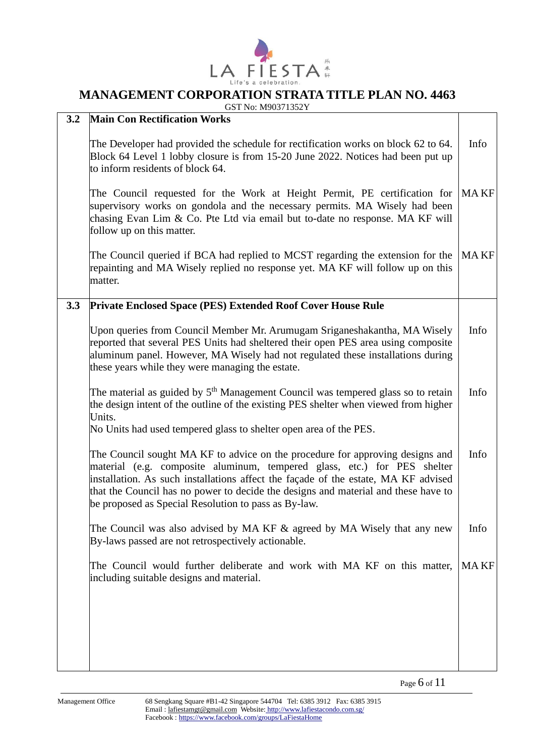

#### **MANAGEMENT CORPORATION STRATA TITLE PLAN NO. 4463** GST No: M90371352Y

| 3.2 | 0.31110.101703113321<br><b>Main Con Rectification Works</b>                                                                                                                                                                                                                                                                                                                                   |             |
|-----|-----------------------------------------------------------------------------------------------------------------------------------------------------------------------------------------------------------------------------------------------------------------------------------------------------------------------------------------------------------------------------------------------|-------------|
|     | The Developer had provided the schedule for rectification works on block 62 to 64.<br>Block 64 Level 1 lobby closure is from 15-20 June 2022. Notices had been put up<br>to inform residents of block 64.                                                                                                                                                                                     | Info        |
|     | The Council requested for the Work at Height Permit, PE certification for<br>supervisory works on gondola and the necessary permits. MA Wisely had been<br>chasing Evan Lim & Co. Pte Ltd via email but to-date no response. MA KF will<br>follow up on this matter.                                                                                                                          | <b>MAKF</b> |
|     | The Council queried if BCA had replied to MCST regarding the extension for the<br>repainting and MA Wisely replied no response yet. MA KF will follow up on this<br>matter.                                                                                                                                                                                                                   | <b>MAKF</b> |
| 3.3 | <b>Private Enclosed Space (PES) Extended Roof Cover House Rule</b>                                                                                                                                                                                                                                                                                                                            |             |
|     | Upon queries from Council Member Mr. Arumugam Sriganeshakantha, MA Wisely<br>reported that several PES Units had sheltered their open PES area using composite<br>aluminum panel. However, MA Wisely had not regulated these installations during<br>these years while they were managing the estate.                                                                                         | Info        |
|     | The material as guided by 5 <sup>th</sup> Management Council was tempered glass so to retain<br>the design intent of the outline of the existing PES shelter when viewed from higher<br>Units.<br>No Units had used tempered glass to shelter open area of the PES.                                                                                                                           | Info        |
|     | The Council sought MA KF to advice on the procedure for approving designs and<br>material (e.g. composite aluminum, tempered glass, etc.) for PES shelter<br>installation. As such installations affect the façade of the estate, MA KF advised<br>that the Council has no power to decide the designs and material and these have to<br>be proposed as Special Resolution to pass as By-law. | Info        |
|     | The Council was also advised by MA KF $\&$ agreed by MA Wisely that any new<br>By-laws passed are not retrospectively actionable.                                                                                                                                                                                                                                                             | Info        |
|     | The Council would further deliberate and work with MA KF on this matter,<br>including suitable designs and material.                                                                                                                                                                                                                                                                          | <b>MAKF</b> |
|     |                                                                                                                                                                                                                                                                                                                                                                                               |             |

Page 6 of 11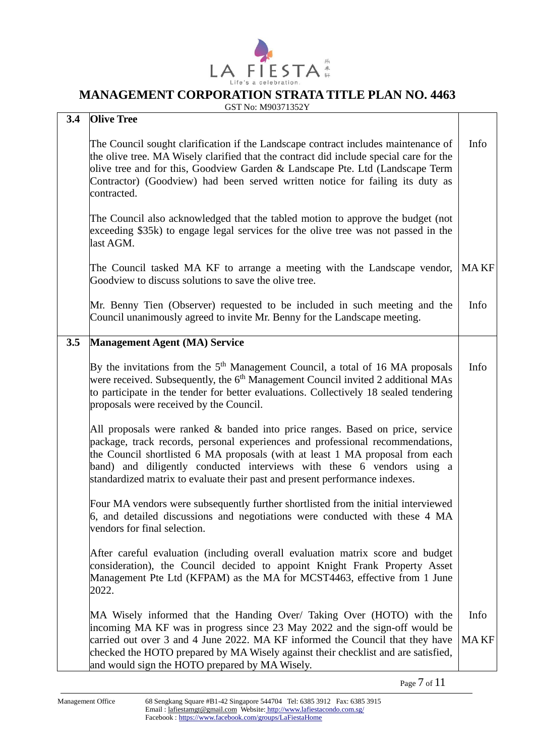

|  | GST No: M90371352Y |
|--|--------------------|

| 3.4 | <b>Olive Tree</b>                                                                                                                                                                                                                                                                                                                                                                                         |                     |
|-----|-----------------------------------------------------------------------------------------------------------------------------------------------------------------------------------------------------------------------------------------------------------------------------------------------------------------------------------------------------------------------------------------------------------|---------------------|
|     | The Council sought clarification if the Landscape contract includes maintenance of<br>the olive tree. MA Wisely clarified that the contract did include special care for the<br>olive tree and for this, Goodview Garden & Landscape Pte. Ltd (Landscape Term<br>Contractor) (Goodview) had been served written notice for failing its duty as<br>contracted.                                             | Info                |
|     | The Council also acknowledged that the tabled motion to approve the budget (not<br>exceeding \$35k) to engage legal services for the olive tree was not passed in the<br>last AGM.                                                                                                                                                                                                                        |                     |
|     | The Council tasked MA KF to arrange a meeting with the Landscape vendor,<br>Goodview to discuss solutions to save the olive tree.                                                                                                                                                                                                                                                                         | <b>MAKF</b>         |
|     | Mr. Benny Tien (Observer) requested to be included in such meeting and the<br>Council unanimously agreed to invite Mr. Benny for the Landscape meeting.                                                                                                                                                                                                                                                   | Info                |
| 3.5 | <b>Management Agent (MA) Service</b>                                                                                                                                                                                                                                                                                                                                                                      |                     |
|     | By the invitations from the $5th$ Management Council, a total of 16 MA proposals<br>were received. Subsequently, the 6 <sup>th</sup> Management Council invited 2 additional MAs<br>to participate in the tender for better evaluations. Collectively 18 sealed tendering<br>proposals were received by the Council.                                                                                      | Info                |
|     | All proposals were ranked & banded into price ranges. Based on price, service<br>package, track records, personal experiences and professional recommendations,<br>the Council shortlisted 6 MA proposals (with at least 1 MA proposal from each<br>band) and diligently conducted interviews with these 6 vendors using a<br>standardized matrix to evaluate their past and present performance indexes. |                     |
|     | Four MA vendors were subsequently further shortlisted from the initial interviewed<br>6, and detailed discussions and negotiations were conducted with these 4 MA<br>vendors for final selection.                                                                                                                                                                                                         |                     |
|     | After careful evaluation (including overall evaluation matrix score and budget<br>consideration), the Council decided to appoint Knight Frank Property Asset<br>Management Pte Ltd (KFPAM) as the MA for MCST4463, effective from 1 June<br>2022.                                                                                                                                                         |                     |
|     | MA Wisely informed that the Handing Over/ Taking Over (HOTO) with the<br>incoming MA KF was in progress since 23 May 2022 and the sign-off would be<br>carried out over 3 and 4 June 2022. MA KF informed the Council that they have                                                                                                                                                                      | Info<br><b>MAKF</b> |
|     | checked the HOTO prepared by MA Wisely against their checklist and are satisfied,<br>and would sign the HOTO prepared by MA Wisely.                                                                                                                                                                                                                                                                       |                     |

Page 7 of 11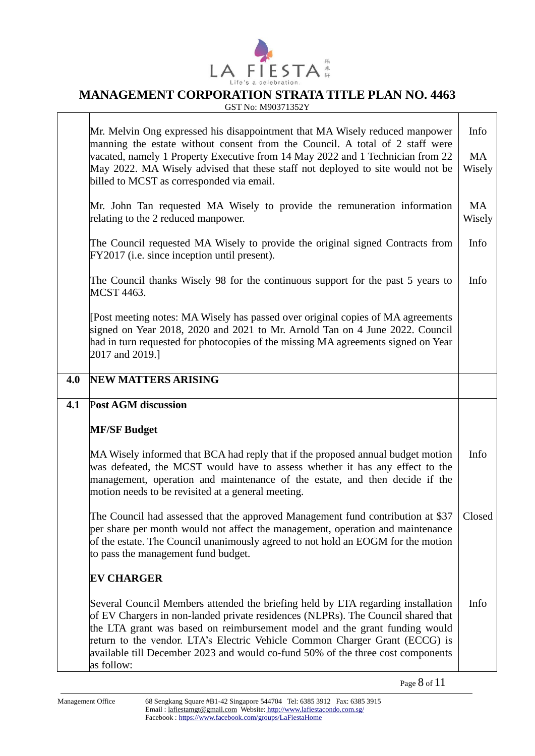

# **LA FIESTA**<sup>#</sup><br>MANAGEMENT CORPORATION STRATA TITLE PLAN NO. 4463

GST No: M90371352Y

|     | Mr. Melvin Ong expressed his disappointment that MA Wisely reduced manpower<br>manning the estate without consent from the Council. A total of 2 staff were<br>vacated, namely 1 Property Executive from 14 May 2022 and 1 Technician from 22<br>May 2022. MA Wisely advised that these staff not deployed to site would not be<br>billed to MCST as corresponded via email.                                                       | Info<br><b>MA</b><br>Wisely |
|-----|------------------------------------------------------------------------------------------------------------------------------------------------------------------------------------------------------------------------------------------------------------------------------------------------------------------------------------------------------------------------------------------------------------------------------------|-----------------------------|
|     | Mr. John Tan requested MA Wisely to provide the remuneration information<br>relating to the 2 reduced manpower.                                                                                                                                                                                                                                                                                                                    | <b>MA</b><br>Wisely         |
|     | The Council requested MA Wisely to provide the original signed Contracts from<br>FY2017 (i.e. since inception until present).                                                                                                                                                                                                                                                                                                      | Info                        |
|     | The Council thanks Wisely 98 for the continuous support for the past 5 years to<br>MCST 4463.                                                                                                                                                                                                                                                                                                                                      | Info                        |
|     | [Post meeting notes: MA Wisely has passed over original copies of MA agreements<br>signed on Year 2018, 2020 and 2021 to Mr. Arnold Tan on 4 June 2022. Council<br>had in turn requested for photocopies of the missing MA agreements signed on Year<br>2017 and 2019.]                                                                                                                                                            |                             |
| 4.0 | <b>NEW MATTERS ARISING</b>                                                                                                                                                                                                                                                                                                                                                                                                         |                             |
| 4.1 | <b>Post AGM discussion</b>                                                                                                                                                                                                                                                                                                                                                                                                         |                             |
|     | <b>MF/SF Budget</b>                                                                                                                                                                                                                                                                                                                                                                                                                |                             |
|     | MA Wisely informed that BCA had reply that if the proposed annual budget motion<br>was defeated, the MCST would have to assess whether it has any effect to the<br>management, operation and maintenance of the estate, and then decide if the<br>motion needs to be revisited at a general meeting.                                                                                                                               | Info                        |
|     | The Council had assessed that the approved Management fund contribution at \$37<br>per share per month would not affect the management, operation and maintenance<br>of the estate. The Council unanimously agreed to not hold an EOGM for the motion<br>to pass the management fund budget.                                                                                                                                       | Closed                      |
|     | <b>EV CHARGER</b>                                                                                                                                                                                                                                                                                                                                                                                                                  |                             |
|     | Several Council Members attended the briefing held by LTA regarding installation<br>of EV Chargers in non-landed private residences (NLPRs). The Council shared that<br>the LTA grant was based on reimbursement model and the grant funding would<br>return to the vendor. LTA's Electric Vehicle Common Charger Grant (ECCG) is<br>available till December 2023 and would co-fund 50% of the three cost components<br>as follow: | Info                        |

Page 8 of 11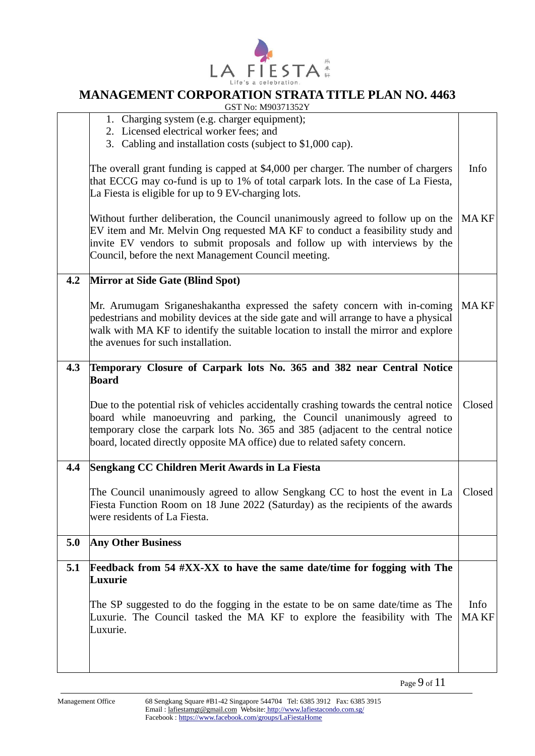

# **LA FIESTA**<sup>#</sup><br>MANAGEMENT CORPORATION STRATA TITLE PLAN NO. 4463

GST No: M90371352Y

|     | Luxurie<br>The SP suggested to do the fogging in the estate to be on same date/time as The<br>Luxurie. The Council tasked the MA KF to explore the feasibility with The<br>Luxurie.                                                                                                                                                                | Info<br><b>MAKF</b> |
|-----|----------------------------------------------------------------------------------------------------------------------------------------------------------------------------------------------------------------------------------------------------------------------------------------------------------------------------------------------------|---------------------|
| 5.1 | Feedback from 54 $\#XX$ -XX to have the same date/time for fogging with The                                                                                                                                                                                                                                                                        |                     |
| 5.0 | <b>Any Other Business</b>                                                                                                                                                                                                                                                                                                                          |                     |
|     | The Council unanimously agreed to allow Sengkang CC to host the event in La<br>Fiesta Function Room on 18 June 2022 (Saturday) as the recipients of the awards<br>were residents of La Fiesta.                                                                                                                                                     | Closed              |
| 4.4 | Sengkang CC Children Merit Awards in La Fiesta                                                                                                                                                                                                                                                                                                     |                     |
|     | <b>Board</b><br>Due to the potential risk of vehicles accidentally crashing towards the central notice<br>board while manoeuvring and parking, the Council unanimously agreed to<br>temporary close the carpark lots No. 365 and 385 (adjacent to the central notice<br>board, located directly opposite MA office) due to related safety concern. | Closed              |
| 4.3 | Temporary Closure of Carpark lots No. 365 and 382 near Central Notice                                                                                                                                                                                                                                                                              |                     |
|     | Mr. Arumugam Sriganeshakantha expressed the safety concern with in-coming<br>pedestrians and mobility devices at the side gate and will arrange to have a physical<br>walk with MA KF to identify the suitable location to install the mirror and explore<br>the avenues for such installation.                                                    | <b>MAKF</b>         |
| 4.2 | Mirror at Side Gate (Blind Spot)                                                                                                                                                                                                                                                                                                                   |                     |
|     | Without further deliberation, the Council unanimously agreed to follow up on the<br>EV item and Mr. Melvin Ong requested MA KF to conduct a feasibility study and<br>invite EV vendors to submit proposals and follow up with interviews by the<br>Council, before the next Management Council meeting.                                            | <b>MAKF</b>         |
|     | The overall grant funding is capped at \$4,000 per charger. The number of chargers<br>that ECCG may co-fund is up to 1% of total carpark lots. In the case of La Fiesta,<br>La Fiesta is eligible for up to 9 EV-charging lots.                                                                                                                    | Info                |
|     | 1. Charging system (e.g. charger equipment);<br>2. Licensed electrical worker fees; and<br>3. Cabling and installation costs (subject to \$1,000 cap).                                                                                                                                                                                             |                     |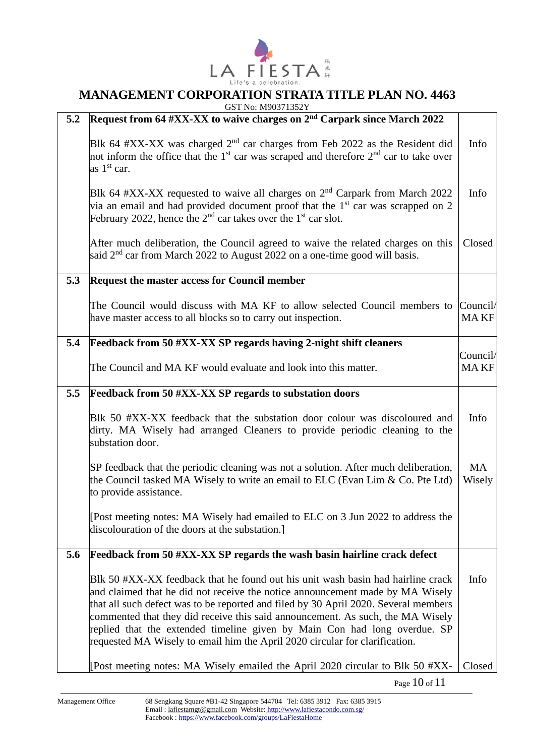

GST No: M90371352Y

| 5.2 | 301110.10202112221<br>Request from 64 #XX-XX to waive charges on 2 <sup>nd</sup> Carpark since March 2022                                                                                                                                                                                                                                                                                                                                                                                             |                         |
|-----|-------------------------------------------------------------------------------------------------------------------------------------------------------------------------------------------------------------------------------------------------------------------------------------------------------------------------------------------------------------------------------------------------------------------------------------------------------------------------------------------------------|-------------------------|
|     | Blk 64 #XX-XX was charged $2nd$ car charges from Feb 2022 as the Resident did<br>not inform the office that the $1st$ car was scraped and therefore $2nd$ car to take over<br>as $1st$ car.                                                                                                                                                                                                                                                                                                           | Info                    |
|     | Blk 64 #XX-XX requested to waive all charges on $2nd$ Carpark from March 2022<br>via an email and had provided document proof that the $1st$ car was scrapped on 2<br>February 2022, hence the $2^{nd}$ car takes over the 1 <sup>st</sup> car slot.                                                                                                                                                                                                                                                  | Info                    |
|     | After much deliberation, the Council agreed to waive the related charges on this<br>said $2nd$ car from March 2022 to August 2022 on a one-time good will basis.                                                                                                                                                                                                                                                                                                                                      | Closed                  |
| 5.3 | <b>Request the master access for Council member</b>                                                                                                                                                                                                                                                                                                                                                                                                                                                   |                         |
|     | The Council would discuss with MA KF to allow selected Council members to<br>have master access to all blocks so to carry out inspection.                                                                                                                                                                                                                                                                                                                                                             | Council/<br><b>MAKF</b> |
| 5.4 | Feedback from 50 #XX-XX SP regards having 2-night shift cleaners                                                                                                                                                                                                                                                                                                                                                                                                                                      |                         |
|     | The Council and MA KF would evaluate and look into this matter.                                                                                                                                                                                                                                                                                                                                                                                                                                       | Council/<br><b>MAKF</b> |
| 5.5 | <b>Feedback from 50 #XX-XX SP regards to substation doors</b>                                                                                                                                                                                                                                                                                                                                                                                                                                         |                         |
|     | Blk 50 #XX-XX feedback that the substation door colour was discoloured and<br>dirty. MA Wisely had arranged Cleaners to provide periodic cleaning to the<br>substation door.                                                                                                                                                                                                                                                                                                                          | Info                    |
|     | SP feedback that the periodic cleaning was not a solution. After much deliberation,<br>the Council tasked MA Wisely to write an email to ELC (Evan Lim $& Co.$ Pte Ltd)<br>to provide assistance.                                                                                                                                                                                                                                                                                                     | <b>MA</b><br>Wisely     |
|     | [Post meeting notes: MA Wisely had emailed to ELC on 3 Jun 2022 to address the<br>discolouration of the doors at the substation.]                                                                                                                                                                                                                                                                                                                                                                     |                         |
| 5.6 | Feedback from 50 #XX-XX SP regards the wash basin hairline crack defect                                                                                                                                                                                                                                                                                                                                                                                                                               |                         |
|     | Blk 50 #XX-XX feedback that he found out his unit wash basin had hairline crack<br>and claimed that he did not receive the notice announcement made by MA Wisely<br>that all such defect was to be reported and filed by 30 April 2020. Several members<br>commented that they did receive this said announcement. As such, the MA Wisely<br>replied that the extended timeline given by Main Con had long overdue. SP<br>requested MA Wisely to email him the April 2020 circular for clarification. | Info                    |
|     | [Post meeting notes: MA Wisely emailed the April 2020 circular to Blk 50 #XX-                                                                                                                                                                                                                                                                                                                                                                                                                         | Closed                  |

Page 10 of 11